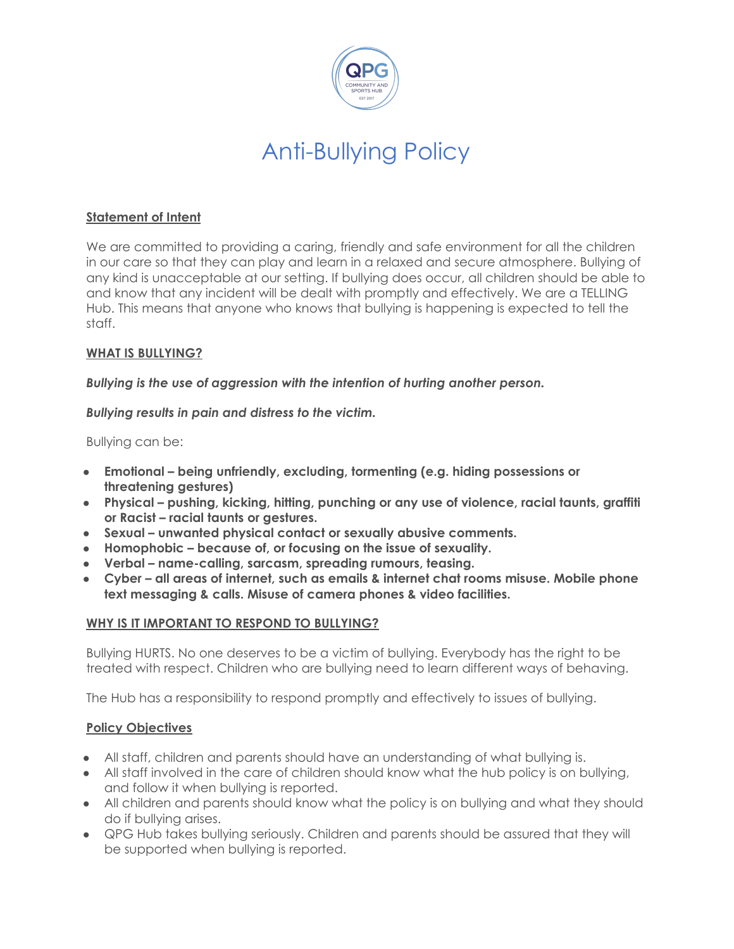

## Anti-Bullying Policy

## **Statement of Intent**

We are committed to providing a caring, friendly and safe environment for all the children in our care so that they can play and learn in a relaxed and secure atmosphere. Bullying of any kind is unacceptable at our setting. If bullying does occur, all children should be able to and know that any incident will be dealt with promptly and effectively. We are a TELLING Hub. This means that anyone who knows that bullying is happening is expected to tell the staff.

## **WHAT IS BULLYING?**

*Bullying is the use of aggression with the intention of hurting another person.*

*Bullying results in pain and distress to the victim.*

Bullying can be:

- **● Emotional being unfriendly, excluding, tormenting (e.g. hiding possessions or threatening gestures)**
- **● Physical pushing, kicking, hitting, punching or any use of violence, racial taunts, graffiti or Racist – racial taunts or gestures.**
- **● Sexual unwanted physical contact or sexually abusive comments.**
- **● Homophobic because of, or focusing on the issue of sexuality.**
- **● Verbal name-calling, sarcasm, spreading rumours, teasing.**
- **● Cyber all areas of internet, such as emails & internet chat rooms misuse. Mobile phone text messaging & calls. Misuse of camera phones & video facilities.**

## **WHY IS IT IMPORTANT TO RESPOND TO BULLYING?**

Bullying HURTS. No one deserves to be a victim of bullying. Everybody has the right to be treated with respect. Children who are bullying need to learn different ways of behaving.

The Hub has a responsibility to respond promptly and effectively to issues of bullying.

## **Policy Objectives**

- All staff, children and parents should have an understanding of what bullying is.
- All staff involved in the care of children should know what the hub policy is on bullying, and follow it when bullying is reported.
- All children and parents should know what the policy is on bullying and what they should do if bullying arises.
- QPG Hub takes bullying seriously. Children and parents should be assured that they will be supported when bullying is reported.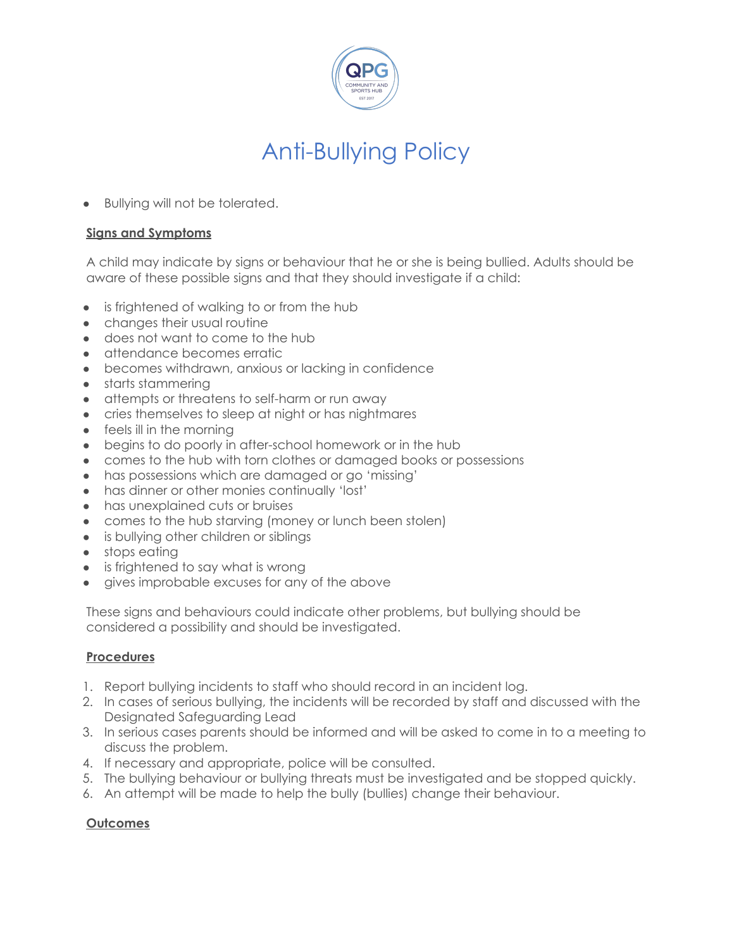

## Anti-Bullying Policy

• Bullying will not be tolerated.

#### **Signs and Symptoms**

A child may indicate by signs or behaviour that he or she is being bullied. Adults should be aware of these possible signs and that they should investigate if a child:

- is frightened of walking to or from the hub
- changes their usual routine
- does not want to come to the hub
- attendance becomes erratic
- becomes withdrawn, anxious or lacking in confidence
- starts stammering
- attempts or threatens to self-harm or run away
- cries themselves to sleep at night or has nightmares
- feels ill in the morning
- begins to do poorly in after-school homework or in the hub
- comes to the hub with torn clothes or damaged books or possessions
- has possessions which are damaged or go 'missing'
- has dinner or other monies continually 'lost'
- has unexplained cuts or bruises
- comes to the hub starving (money or lunch been stolen)
- is bullying other children or siblings
- stops eating
- is frightened to say what is wrong
- gives improbable excuses for any of the above

These signs and behaviours could indicate other problems, but bullying should be considered a possibility and should be investigated.

#### **Procedures**

- 1. Report bullying incidents to staff who should record in an incident log.
- 2. In cases of serious bullying, the incidents will be recorded by staff and discussed with the Designated Safeguarding Lead
- 3. In serious cases parents should be informed and will be asked to come in to a meeting to discuss the problem.
- 4. If necessary and appropriate, police will be consulted.
- 5. The bullying behaviour or bullying threats must be investigated and be stopped quickly.
- 6. An attempt will be made to help the bully (bullies) change their behaviour.

#### **Outcomes**